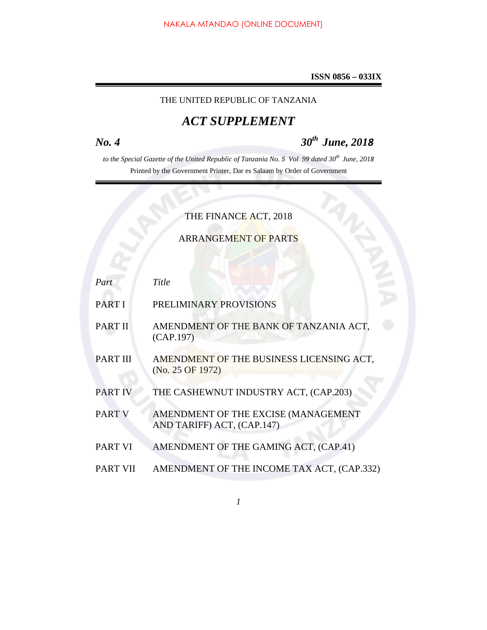**ISSN 0856 – 033IX** 

# THE UNITED REPUBLIC OF TANZANIA

# *ACT SUPPLEMENT*

*No. 4 30th June, 2018*

*to the Special Gazette of the United Republic of Tanzania No. 5 Vol 99 dated 30th June, 2018*

# THE FINANCE ACT, 2018

# ARRANGEMENT OF PARTS

|                 | Printed by the Government Printer, Dar es Salaam by Order of Government |
|-----------------|-------------------------------------------------------------------------|
|                 | THE FINANCE ACT, 2018                                                   |
|                 | <b>ARRANGEMENT OF PARTS</b>                                             |
|                 |                                                                         |
| Part            | Title                                                                   |
| <b>PARTI</b>    | PRELIMINARY PROVISIONS                                                  |
| <b>PART II</b>  | AMENDMENT OF THE BANK OF TANZANIA ACT,<br>(CAP.197)                     |
| <b>PART III</b> | AMENDMENT OF THE BUSINESS LICENSING ACT,<br>(No. 25 OF 1972)            |
| <b>PART IV</b>  | THE CASHEWNUT INDUSTRY ACT, (CAP.203)                                   |
| <b>PART V</b>   | AMENDMENT OF THE EXCISE (MANAGEMENT<br>AND TARIFF) ACT, (CAP.147)       |
| <b>PART VI</b>  | AMENDMENT OF THE GAMING ACT, (CAP.41)                                   |
| <b>PART VII</b> | AMENDMENT OF THE INCOME TAX ACT, (CAP.332)                              |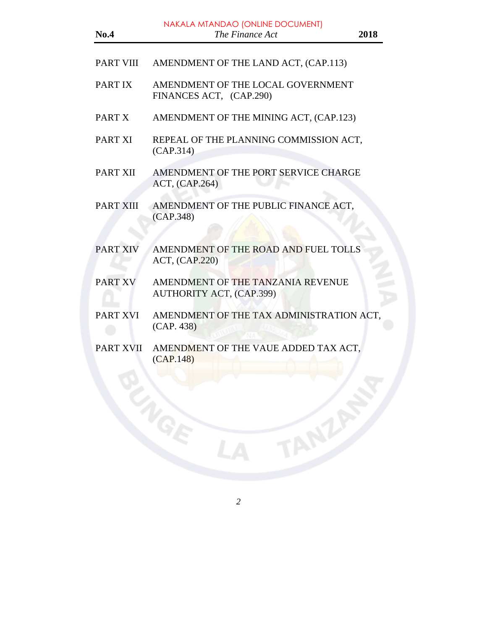| No.4             | NAKALA MTANDAO (ONLINE DOCUMENT)<br>The Finance Act                  | 2018 |
|------------------|----------------------------------------------------------------------|------|
| PART VIII        | AMENDMENT OF THE LAND ACT, (CAP.113)                                 |      |
| PART IX          | AMENDMENT OF THE LOCAL GOVERNMENT<br>FINANCES ACT, (CAP.290)         |      |
| PART X           | AMENDMENT OF THE MINING ACT, (CAP.123)                               |      |
| PART XI          | REPEAL OF THE PLANNING COMMISSION ACT,<br>(CAP.314)                  |      |
| PART XII         | AMENDMENT OF THE PORT SERVICE CHARGE<br>ACT, (CAP.264)               |      |
| PART XIII        | AMENDMENT OF THE PUBLIC FINANCE ACT,<br>(CAP.348)                    |      |
| <b>PART XIV</b>  | AMENDMENT OF THE ROAD AND FUEL TOLLS<br>ACT, (CAP.220)               |      |
| PART XV          | AMENDMENT OF THE TANZANIA REVENUE<br><b>AUTHORITY ACT, (CAP.399)</b> |      |
| PART XVI         | AMENDMENT OF THE TAX ADMINISTRATION ACT,<br>(CAP. 438)               |      |
| <b>PART XVII</b> | AMENDMENT OF THE VAUE ADDED TAX ACT.<br>(CAP.148)                    |      |
|                  |                                                                      |      |
|                  |                                                                      |      |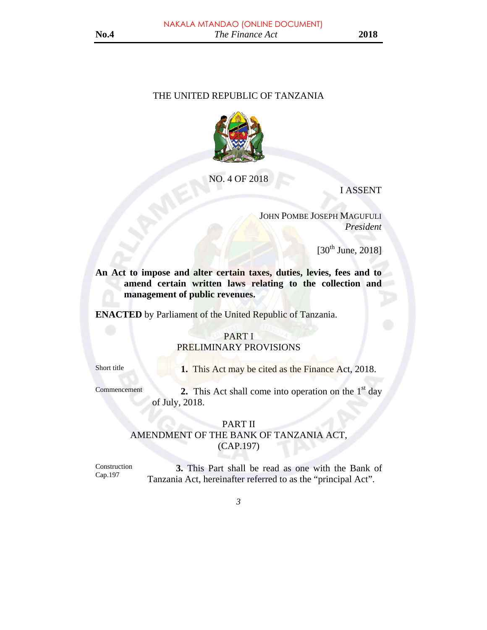#### THE UNITED REPUBLIC OF TANZANIA



NO. 4 OF 2018

I ASSENT

JOHN POMBE JOSEPH MAGUFULI *President* 

[30th June, 2018]

**An Act to impose and alter certain taxes, duties, levies, fees and to amend certain written laws relating to the collection and management of public revenues.** 

**ENACTED** by Parliament of the United Republic of Tanzania.

#### PART I

#### PRELIMINARY PROVISIONS

Short title **1.** This Act may be cited as the Finance Act, 2018.

Commencement **2.** This Act shall come into operation on the  $1<sup>st</sup>$  day of July, 2018.

#### PART II AMENDMENT OF THE BANK OF TANZANIA ACT, (CAP.197)

Construction Cap.197 **3.** This Part shall be read as one with the Bank of Tanzania Act, hereinafter referred to as the "principal Act".

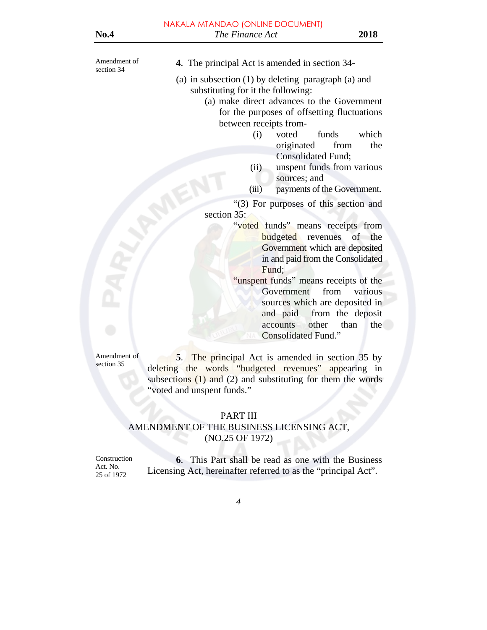Amendment of section 34

 **4**. The principal Act is amended in section 34-

- (a) in subsection (1) by deleting paragraph (a) and substituting for it the following:
	- (a) make direct advances to the Government for the purposes of offsetting fluctuations between receipts from-
		- (i) voted funds which originated from the Consolidated Fund;
		- (ii) unspent funds from various sources; and
		- (iii) payments of the Government.

 "(3) For purposes of this section and section 35:

- "voted funds" means receipts from **budgeted** revenues of the Government which are deposited in and paid from the Consolidated Fund;
- "unspent funds" means receipts of the Government from various sources which are deposited in and paid from the deposit accounts other than the Consolidated Fund."

Amendment of section 35

**5**. The principal Act is amended in section 35 by deleting the words "budgeted revenues" appearing in subsections  $(1)$  and  $(2)$  and substituting for them the words "voted and unspent funds."

#### PART III

# AMENDMENT OF THE BUSINESS LICENSING ACT, (NO.25 OF 1972)

Construction Act. No. 25 of 1972

**6**. This Part shall be read as one with the Business Licensing Act, hereinafter referred to as the "principal Act".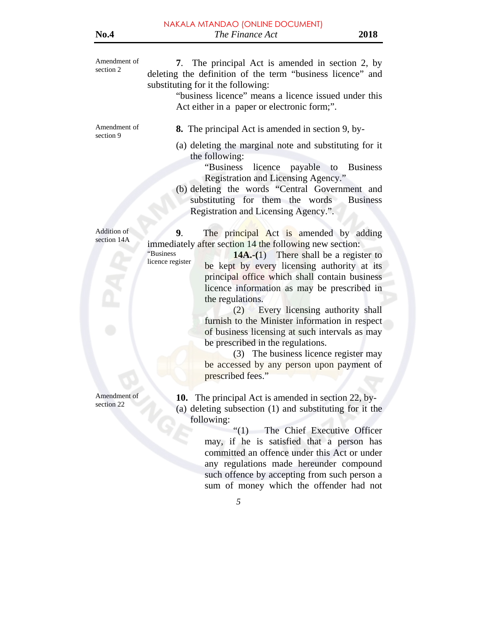Amendment of section 2 **7**. The principal Act is amended in section 2, by deleting the definition of the term "business licence" and substituting for it the following: "business licence" means a licence issued under this Act either in a paper or electronic form;". Amendment of section 9 **8.** The principal Act is amended in section 9, by- (a) deleting the marginal note and substituting for it the following: "Business licence payable to Business Registration and Licensing Agency." (b) deleting the words "Central Government and substituting for them the words Business Registration and Licensing Agency.". Addition of section 14A **9**. The principal Act is amended by adding immediately after section 14 the following new section: "Business "Business"  $\frac{14\text{A}^{1}(1)}{2}$  There shall be a register to licence register to her known licensing outboring at its be kept by every licensing authority at its principal office which shall contain business licence information as may be prescribed in the regulations. (2) Every licensing authority shall furnish to the Minister information in respect of business licensing at such intervals as may be prescribed in the regulations. (3) The business licence register may be accessed by any person upon payment of prescribed fees." Amendment of section 22 **10.** The principal Act is amended in section 22, by- (a) deleting subsection (1) and substituting for it the following: "(1) The Chief Executive Officer

may, if he is satisfied that a person has committed an offence under this Act or under any regulations made hereunder compound such offence by accepting from such person a sum of money which the offender had not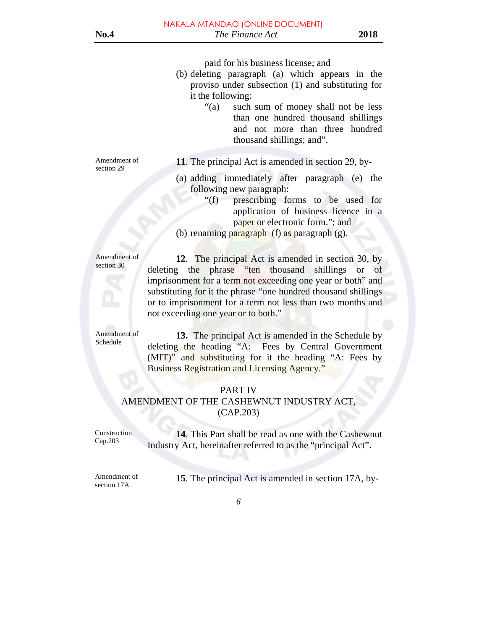paid for his business license; and

- (b) deleting paragraph (a) which appears in the proviso under subsection (1) and substituting for it the following:
	- "(a) such sum of money shall not be less than one hundred thousand shillings and not more than three hundred thousand shillings; and".

Amendment of section 29

**11**. The principal Act is amended in section 29, by-

- (a) adding immediately after paragraph (e) the following new paragraph:
	- "(f) prescribing forms to be used for application of business licence in a paper or electronic form."; and
- (b) renaming paragraph  $(f)$  as paragraph  $(g)$ .

Amendment of section 30

**12**. The principal Act is amended in section 30, by deleting the phrase "ten thousand shillings or of imprisonment for a term not exceeding one year or both" and substituting for it the phrase "one hundred thousand shillings or to imprisonment for a term not less than two months and not exceeding one year or to both."

Amendment of Schedule

**13.** The principal Act is amended in the Schedule by deleting the heading "A: Fees by Central Government (MIT)" and substituting for it the heading "A: Fees by Business Registration and Licensing Agency."

#### PART IV

#### AMENDMENT OF THE CASHEWNUT INDUSTRY ACT, (CAP.203)

Construction Cap.203

**14**. This Part shall be read as one with the Cashewnut Industry Act, hereinafter referred to as the "principal Act".

Amendment of section 17A

 **15**. The principal Act is amended in section 17A, by-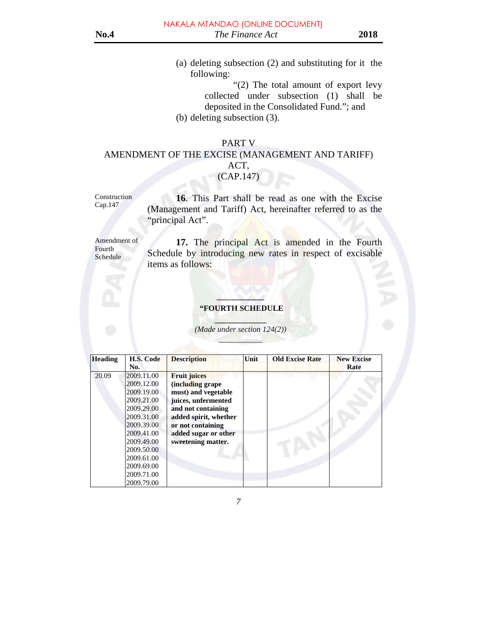(a) deleting subsection (2) and substituting for it the following:

 "(2) The total amount of export levy collected under subsection (1) shall be deposited in the Consolidated Fund."; and (b) deleting subsection (3).

# PART V AMENDMENT OF THE EXCISE (MANAGEMENT AND TARIFF) ACT, (CAP.147)

Construction Cap.147

 **16**. This Part shall be read as one with the Excise (Management and Tariff) Act, hereinafter referred to as the "principal Act".

Amendment of Fourth Schedule

17. The principal Act is amended in the Fourth Schedule by introducing new rates in respect of excisable items as follows:

#### $111222$  **"FOURTH SCHEDULE**

**\_\_\_\_\_\_\_\_\_\_\_\_\_** *(Made under section 124(2)) \_\_\_\_\_\_\_\_\_\_\_* 

| <b>Heading</b> | H.S. Code<br>No. | <b>Description</b>    | Unit | <b>Old Excise Rate</b> | <b>New Excise</b><br>Rate |
|----------------|------------------|-----------------------|------|------------------------|---------------------------|
|                |                  |                       |      |                        |                           |
| 20.09          | 2009.11.00       | <b>Fruit juices</b>   |      |                        |                           |
|                | 2009.12.00       | (including grape)     |      |                        |                           |
|                | 2009.19.00       | must) and vegetable   |      |                        |                           |
|                | 2009.21.00       | juices, unfermented   |      |                        |                           |
|                | 2009.29.00       | and not containing    |      |                        |                           |
|                | 2009.31.00       | added spirit, whether |      |                        |                           |
|                | 2009.39.00       | or not containing     |      |                        |                           |
|                | 2009.41.00       | added sugar or other  |      |                        |                           |
|                | 2009.49.00       | sweetening matter.    |      |                        |                           |
|                | 2009.50.00       |                       |      |                        |                           |
|                | 2009.61.00       |                       |      |                        |                           |
|                | 2009.69.00       |                       |      |                        |                           |
|                | 2009.71.00       |                       |      |                        |                           |
|                | 2009.79.00       |                       |      |                        |                           |

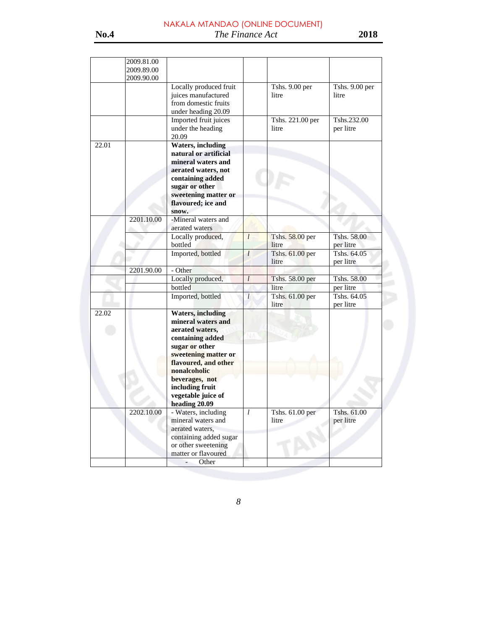|       | 2009.81.00 |                          |                   |                  |                |
|-------|------------|--------------------------|-------------------|------------------|----------------|
|       | 2009.89.00 |                          |                   |                  |                |
|       | 2009.90.00 |                          |                   |                  |                |
|       |            |                          |                   |                  |                |
|       |            | Locally produced fruit   |                   | Tshs. 9.00 per   | Tshs. 9.00 per |
|       |            | juices manufactured      |                   | litre            | litre          |
|       |            | from domestic fruits     |                   |                  |                |
|       |            | under heading 20.09      |                   |                  |                |
|       |            | Imported fruit juices    |                   | Tshs. 221.00 per | Tshs.232.00    |
|       |            | under the heading        |                   | litre            | per litre      |
|       |            | 20.09                    |                   |                  |                |
| 22.01 |            | <b>Waters, including</b> |                   |                  |                |
|       |            | natural or artificial    |                   |                  |                |
|       |            | mineral waters and       |                   |                  |                |
|       |            | aerated waters, not      |                   |                  |                |
|       |            | containing added         |                   |                  |                |
|       |            | sugar or other           |                   |                  |                |
|       |            | sweetening matter or     |                   |                  |                |
|       |            | flavoured; ice and       |                   |                  |                |
|       |            | snow.                    |                   |                  |                |
|       | 2201.10.00 | -Mineral waters and      |                   |                  |                |
|       |            | aerated waters           |                   |                  |                |
|       |            | Locally produced,        | l                 | Tshs. 58.00 per  | Tshs. 58.00    |
|       |            | bottled                  |                   | litre            | per litre      |
|       |            | Imported, bottled        | l                 | Tshs. 61.00 per  | Tshs. 64.05    |
|       |            |                          |                   | litre            | per litre      |
|       | 2201.90.00 | - Other                  |                   |                  |                |
|       |            | Locally produced,        | $l_{\mathcal{L}}$ | Tshs. 58.00 per  | Tshs. 58.00    |
|       |            | bottled                  |                   | litre            | per litre      |
|       |            | Imported, bottled        | l                 | Tshs. 61.00 per  | Tshs. 64.05    |
|       |            |                          |                   | litre            | per litre      |
| 22.02 |            | <b>Waters, including</b> |                   |                  |                |
|       |            | mineral waters and       |                   |                  |                |
|       |            | aerated waters,          |                   |                  |                |
|       |            | containing added         |                   |                  |                |
|       |            | sugar or other           |                   |                  |                |
|       |            | sweetening matter or     |                   |                  |                |
|       |            | flavoured, and other     |                   |                  |                |
|       |            | nonalcoholic             |                   |                  |                |
|       |            | beverages, not           |                   |                  |                |
|       |            | including fruit          |                   |                  |                |
|       |            | vegetable juice of       |                   |                  |                |
|       |            | heading 20.09            |                   |                  |                |
|       | 2202.10.00 | - Waters, including      | $\mathfrak{l}$    | Tshs. 61.00 per  | Tshs. 61.00    |
|       |            | mineral waters and       |                   | litre            | per litre      |
|       |            | aerated waters.          |                   |                  |                |
|       |            | containing added sugar   |                   |                  |                |
|       |            | or other sweetening      |                   |                  |                |
|       |            | matter or flavoured      |                   |                  |                |
|       |            | Other                    |                   |                  |                |
|       |            |                          |                   |                  |                |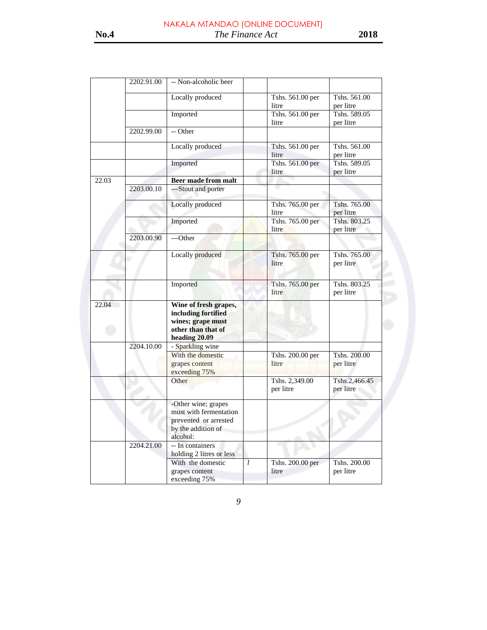|       | 2202.91.00 | -- Non-alcoholic beer                                                                                    |                |                             |                            |
|-------|------------|----------------------------------------------------------------------------------------------------------|----------------|-----------------------------|----------------------------|
|       |            | Locally produced                                                                                         |                | Tshs. 561.00 per            | Tshs. 561.00               |
|       |            |                                                                                                          |                | litre                       | per litre                  |
|       |            | Imported                                                                                                 |                | Tshs. 561.00 per            | Tshs. 589.05               |
|       |            |                                                                                                          |                | litre                       | per litre                  |
|       | 2202.99.00 | -- Other                                                                                                 |                |                             |                            |
|       |            | Locally produced                                                                                         |                | Tshs. 561.00 per            | Tshs. 561.00               |
|       |            |                                                                                                          |                | litre                       | per litre                  |
|       |            | Imported                                                                                                 |                | Tshs. 561.00 per            | Tshs. 589.05               |
|       |            |                                                                                                          |                | litre                       | per litre                  |
| 22.03 |            | <b>Beer made from malt</b>                                                                               |                |                             |                            |
|       | 2203.00.10 | ---Stout and porter                                                                                      |                |                             |                            |
|       |            | Locally produced                                                                                         |                | Tshs. 765.00 per            | Tshs. 765.00               |
|       |            |                                                                                                          |                | litre                       | per litre                  |
|       |            | Imported                                                                                                 |                | Tshs. 765.00 per<br>litre   | Tshs. 803.25<br>per litre  |
|       | 2203.00.90 | ---Other                                                                                                 |                |                             |                            |
|       |            | Locally produced                                                                                         |                | Tshs. 765.00 per<br>litre   | Tshs. 765.00<br>per litre  |
|       |            | Imported                                                                                                 |                | Tshs. 765.00 per            | Tshs. 803.25               |
|       |            |                                                                                                          |                | litre                       | per litre                  |
| 22.04 |            | Wine of fresh grapes,<br>including fortified<br>wines; grape must<br>other than that of<br>heading 20.09 |                |                             |                            |
|       | 2204.10.00 | - Sparkling wine                                                                                         |                |                             |                            |
|       |            | With the domestic<br>grapes content<br>exceeding 75%                                                     |                | Tshs. 200.00 per<br>litre   | Tshs. 200.00<br>per litre  |
|       |            | Other                                                                                                    |                | Tshs. 2,349.00<br>per litre | Tshs.2,466.45<br>per litre |
|       |            | -Other wine; grapes<br>must with fermentation<br>prevented or arrested<br>by the addition of<br>alcohol: |                |                             |                            |
|       | 2204.21.00 | -- In containers                                                                                         |                |                             |                            |
|       |            | holding 2 litres or less                                                                                 |                |                             |                            |
|       |            | With the domestic<br>grapes content<br>exceeding 75%                                                     | $\overline{l}$ | Tshs. 200.00 per<br>litre   | Tshs. 200.00<br>per litre  |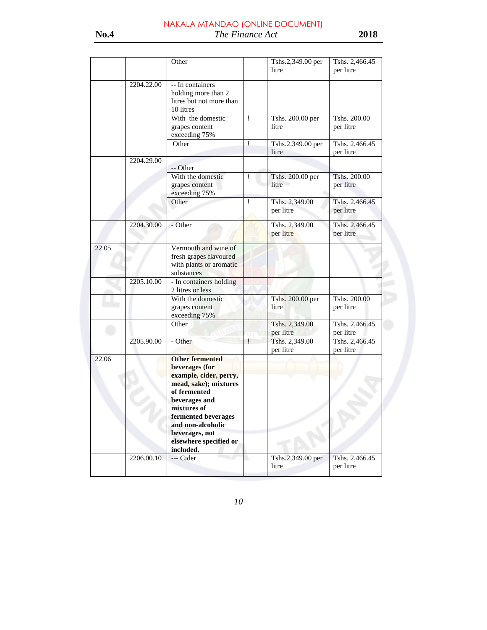|       |            | Other                                                                                                                                                                                   |   | Tshs.2,349.00 per<br>litre  | Tshs. 2,466.45<br>per litre |
|-------|------------|-----------------------------------------------------------------------------------------------------------------------------------------------------------------------------------------|---|-----------------------------|-----------------------------|
|       | 2204.22.00 | -- In containers<br>holding more than 2<br>litres but not more than<br>10 litres                                                                                                        |   |                             |                             |
|       |            | With the domestic<br>grapes content<br>exceeding 75%                                                                                                                                    | l | Tshs. 200.00 per<br>litre   | Tshs. 200.00<br>per litre   |
|       |            | Other                                                                                                                                                                                   | l | Tshs.2,349.00 per<br>litre  | Tshs. 2,466.45<br>per litre |
|       | 2204.29.00 | -- Other                                                                                                                                                                                |   |                             |                             |
|       |            | With the domestic<br>grapes content<br>exceeding 75%                                                                                                                                    | l | Tshs. 200.00 per<br>litre   | Tshs. 200.00<br>per litre   |
|       |            | Other                                                                                                                                                                                   | l | Tshs. 2,349.00<br>per litre | Tshs. 2,466.45<br>per litre |
|       | 2204.30.00 | - Other                                                                                                                                                                                 |   | Tshs. 2,349.00<br>per litre | Tshs. 2,466.45<br>per litre |
| 22.05 |            | Vermouth and wine of<br>fresh grapes flavoured<br>with plants or aromatic<br>substances                                                                                                 |   |                             |                             |
|       | 2205.10.00 | - In containers holding<br>2 litres or less                                                                                                                                             |   |                             |                             |
|       |            | With the domestic<br>grapes content<br>exceeding 75%                                                                                                                                    |   | Tshs. 200.00 per<br>litre   | Tshs. 200.00<br>per litre   |
|       |            | Other                                                                                                                                                                                   |   | Tshs. 2,349.00<br>per litre | Tshs. 2,466.45<br>per litre |
|       | 2205.90.00 | - Other                                                                                                                                                                                 | l | Tshs. 2,349.00<br>per litre | Tshs. 2,466.45<br>per litre |
| 22.06 |            | <b>Other fermented</b><br>beverages (for<br>example, cider, perry,<br>mead, sake); mixtures<br>of fermented<br>beverages and<br>mixtures of<br>fermented beverages<br>and non-alcoholic |   |                             |                             |
|       |            | beverages, not<br>elsewhere specified or<br>included.                                                                                                                                   |   |                             |                             |
|       | 2206.00.10 | --- Cider                                                                                                                                                                               | ٠ | Tshs.2,349.00 per<br>litre  | Tshs. 2,466.45<br>per litre |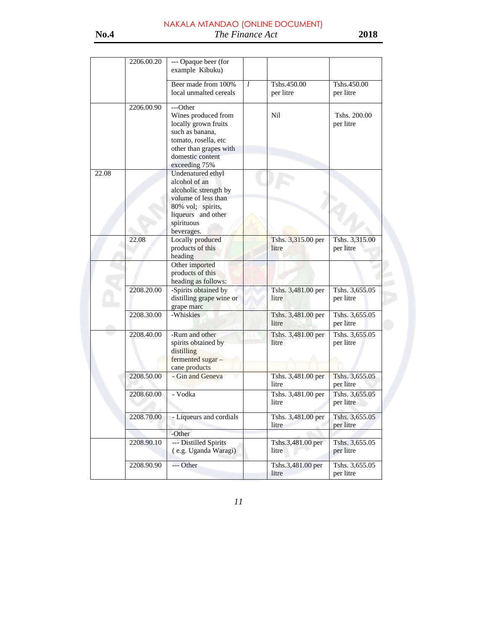|       | 2206.00.20 | --- Opaque beer (for<br>example Kibuku)                                                                                                                           |   |                             |                             |
|-------|------------|-------------------------------------------------------------------------------------------------------------------------------------------------------------------|---|-----------------------------|-----------------------------|
|       |            | Beer made from 100%<br>local unmalted cereals                                                                                                                     | l | Tshs.450.00<br>per litre    | Tshs.450.00<br>per litre    |
|       | 2206.00.90 | ---Other<br>Wines produced from<br>locally grown fruits<br>such as banana.<br>tomato, rosella, etc<br>other than grapes with<br>domestic content<br>exceeding 75% |   | Nil                         | Tshs. 200.00<br>per litre   |
| 22.08 |            | Undenatured ethyl<br>alcohol of an<br>alcoholic strength by<br>volume of less than<br>80% vol; spirits,<br>liqueurs and other<br>spirituous<br>beverages.         |   |                             |                             |
|       | 22.08      | Locally produced<br>products of this<br>heading                                                                                                                   |   | Tshs. 3,315.00 per<br>litre | Tshs. 3,315.00<br>per litre |
|       |            | Other imported<br>products of this<br>heading as follows:                                                                                                         |   |                             |                             |
|       | 2208.20.00 | -Spirits obtained by<br>distilling grape wine or<br>grape marc                                                                                                    |   | Tshs. 3,481.00 per<br>litre | Tshs. 3,655.05<br>per litre |
|       | 2208.30.00 | -Whiskies                                                                                                                                                         |   | Tshs. 3,481.00 per<br>litre | Tshs. 3,655.05<br>per litre |
|       | 2208.40.00 | -Rum and other<br>spirits obtained by<br>distilling<br>fermented sugar -<br>cane products                                                                         |   | Tshs. 3,481.00 per<br>litre | Tshs. 3,655.05<br>per litre |
|       | 2208.50.00 | - Gin and Geneva                                                                                                                                                  |   | Tshs. 3,481.00 per<br>litre | Tshs. 3,655.05<br>per litre |
|       | 2208.60.00 | - Vodka                                                                                                                                                           |   | Tshs. 3,481.00 per<br>litre | Tshs. 3,655.05<br>per litre |
|       | 2208.70.00 | - Liqueurs and cordials                                                                                                                                           |   | Tshs. 3,481.00 per<br>litre | Tshs. 3,655.05<br>per litre |
|       | 2208.90.10 | -Other<br>--- Distilled Spirits<br>(e.g. Uganda Waragi)                                                                                                           |   | Tshs.3,481.00 per<br>litre  | Tshs. 3,655.05<br>per litre |
|       | 2208.90.90 | --- Other                                                                                                                                                         |   | Tshs.3,481.00 per<br>litre  | Tshs. 3,655.05<br>per litre |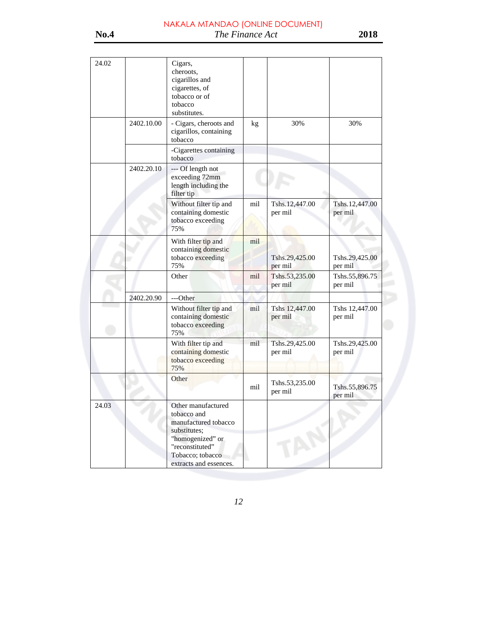| 24.02 |            | Cigars,<br>cheroots.<br>cigarillos and<br>cigarettes, of<br>tobacco or of<br>tobacco<br>substitutes.                                                           |     |                           |                           |
|-------|------------|----------------------------------------------------------------------------------------------------------------------------------------------------------------|-----|---------------------------|---------------------------|
|       | 2402.10.00 | - Cigars, cheroots and<br>cigarillos, containing<br>tobacco                                                                                                    | kg  | 30%                       | 30%                       |
|       |            | -Cigarettes containing<br>tobacco                                                                                                                              |     |                           |                           |
|       | 2402.20.10 | --- Of length not<br>exceeding 72mm<br>length including the<br>filter tip                                                                                      |     |                           |                           |
|       |            | Without filter tip and<br>containing domestic<br>tobacco exceeding<br>75%                                                                                      | mil | Tshs.12,447.00<br>per mil | Tshs.12,447.00<br>per mil |
|       |            | With filter tip and<br>containing domestic<br>tobacco exceeding<br>75%                                                                                         | mil | Tshs.29,425.00<br>per mil | Tshs.29,425.00<br>per mil |
|       |            | Other                                                                                                                                                          | mil | Tshs.53,235.00<br>per mil | Tshs.55,896.75<br>per mil |
|       | 2402.20.90 | ---Other                                                                                                                                                       |     |                           |                           |
|       |            | Without filter tip and<br>containing domestic<br>tobacco exceeding<br>75%                                                                                      | mil | Tshs 12,447.00<br>per mil | Tshs 12,447.00<br>per mil |
|       |            | With filter tip and<br>containing domestic<br>tobacco exceeding<br>75%                                                                                         | mil | Tshs.29,425.00<br>per mil | Tshs.29,425.00<br>per mil |
|       |            | Other                                                                                                                                                          | mil | Tshs.53,235.00<br>per mil | Tshs.55,896.75<br>per mil |
| 24.03 |            | Other manufactured<br>tobacco and<br>manufactured tobacco<br>substitutes;<br>"homogenized" or<br>"reconstituted"<br>Tobacco; tobacco<br>extracts and essences. |     |                           |                           |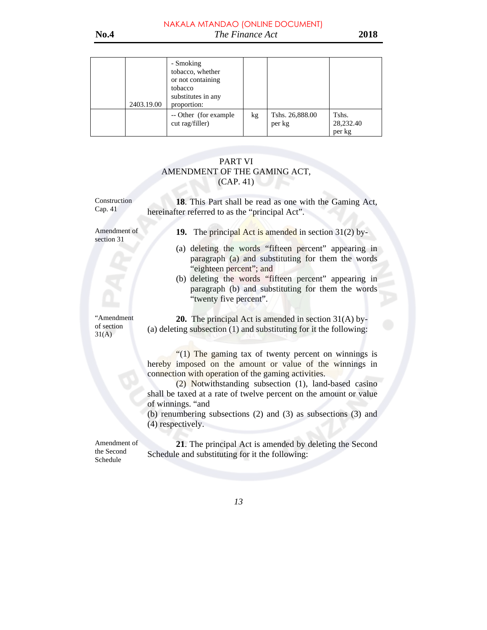| 2403.19.00 | - Smoking<br>tobacco, whether<br>or not containing<br>tobacco<br>substitutes in any<br>proportion: |    |                           |                              |
|------------|----------------------------------------------------------------------------------------------------|----|---------------------------|------------------------------|
|            | -- Other (for example)<br>cut rag/filler)                                                          | kg | Tshs. 26,888.00<br>per kg | Tshs.<br>28,232.40<br>per kg |

# PART VI AMENDMENT OF THE GAMING ACT, (CAP. 41)

| Construction<br>Cap. 41                | 18. This Part shall be read as one with the Gaming Act,<br>hereinafter referred to as the "principal Act".                                                                                                                                                                                                                                                                                                              |  |  |  |  |  |
|----------------------------------------|-------------------------------------------------------------------------------------------------------------------------------------------------------------------------------------------------------------------------------------------------------------------------------------------------------------------------------------------------------------------------------------------------------------------------|--|--|--|--|--|
| Amendment of<br>section 31             | 19. The principal Act is amended in section $31(2)$ by-                                                                                                                                                                                                                                                                                                                                                                 |  |  |  |  |  |
|                                        | (a) deleting the words "fifteen percent" appearing in<br>paragraph (a) and substituting for them the words<br>"eighteen percent"; and<br>(b) deleting the words "fifteen percent" appearing in<br>paragraph (b) and substituting for them the words<br>"twenty five percent".                                                                                                                                           |  |  |  |  |  |
| "Amendment<br>of section<br>31(A)      | <b>20.</b> The principal Act is amended in section $31(A)$ by-<br>(a) deleting subsection (1) and substituting for it the following:                                                                                                                                                                                                                                                                                    |  |  |  |  |  |
|                                        | "(1) The gaming tax of twenty percent on winnings is<br>hereby imposed on the amount or value of the winnings in<br>connection with operation of the gaming activities.<br>(2) Notwithstanding subsection (1), land-based casino<br>shall be taxed at a rate of twelve percent on the amount or value<br>of winnings. "and<br>(b) renumbering subsections $(2)$ and $(3)$ as subsections $(3)$ and<br>(4) respectively. |  |  |  |  |  |
| Amendment of<br>the Second<br>Schedule | 21. The principal Act is amended by deleting the Second<br>Schedule and substituting for it the following:                                                                                                                                                                                                                                                                                                              |  |  |  |  |  |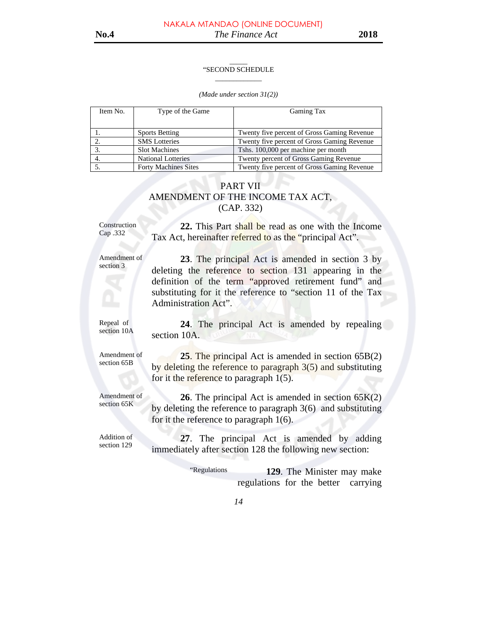#### $\overline{\phantom{a}}$ "SECOND SCHEDULE \_\_\_\_\_\_\_\_\_\_\_\_\_

#### *(Made under section 31(2))*

| Item No. | Type of the Game            | <b>Gaming Tax</b>                           |
|----------|-----------------------------|---------------------------------------------|
|          |                             |                                             |
|          | <b>Sports Betting</b>       | Twenty five percent of Gross Gaming Revenue |
|          | <b>SMS</b> Lotteries        | Twenty five percent of Gross Gaming Revenue |
|          | <b>Slot Machines</b>        | Tshs. 100,000 per machine per month         |
| 4.       | <b>National Lotteries</b>   | Twenty percent of Gross Gaming Revenue      |
|          | <b>Forty Machines Sites</b> | Twenty five percent of Gross Gaming Revenue |

#### PART VII AMENDMENT OF THE INCOME TAX ACT, (CAP. 332)

Construction Cap .332

**22.** This Part shall be read as one with the Income Tax Act, hereinafter referred to as the "principal Act".

Amendment of section 3

**23**. The principal Act is amended in section 3 by deleting the reference to section 131 appearing in the definition of the term "approved retirement fund" and substituting for it the reference to "section 11 of the Tax Administration Act".

Repeal of section 10A

**24**. The principal Act is amended by repealing section 10A.

Amendment of section 65B

**25**. The principal Act is amended in section 65B(2) by deleting the reference to paragraph 3(5) and substituting for it the reference to paragraph 1(5).

Amendment of section 65K

**26**. The principal Act is amended in section 65K(2) by deleting the reference to paragraph 3(6) and substituting for it the reference to paragraph 1(6).

Addition of section 129

**27**. The principal Act is amended by adding immediately after section 128 the following new section:

> "Regulations **129**. The Minister may make regulations for the better carrying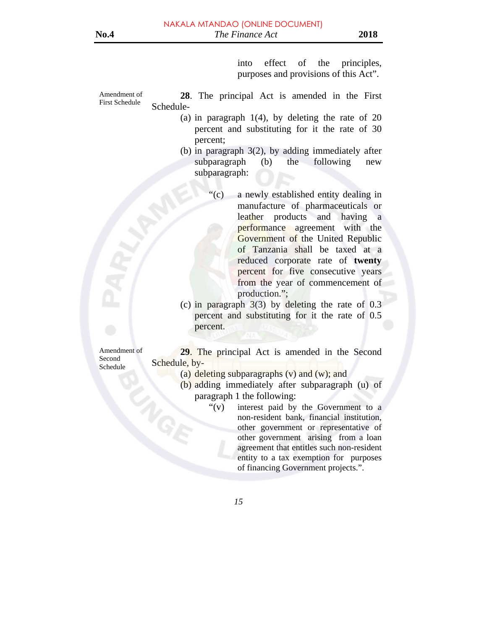into effect of the principles, purposes and provisions of this Act".

Amendment of First Schedule **28**. The principal Act is amended in the First Schedule-

- (a) in paragraph  $1(4)$ , by deleting the rate of 20 percent and substituting for it the rate of 30 percent;
- (b) in paragraph 3(2), by adding immediately after subparagraph (b) the following new subparagraph:
	- "(c) a newly established entity dealing in manufacture of pharmaceuticals or leather products and having a performance agreement with the Government of the United Republic of Tanzania shall be taxed at a reduced corporate rate of **twenty** percent for five consecutive years from the year of commencement of production.";
- (c) in paragraph 3(3) by deleting the rate of 0.3 percent and substituting for it the rate of 0.5 percent.

Amendment of Second Schedule

**29**. The principal Act is amended in the Second Schedule, by-

(a) deleting subparagraphs  $(v)$  and  $(w)$ ; and

- (b) adding immediately after subparagraph (u) of paragraph 1 the following:
	- "(v) interest paid by the Government to a non-resident bank, financial institution, other government or representative of other government arising from a loan agreement that entitles such non-resident entity to a tax exemption for purposes of financing Government projects.".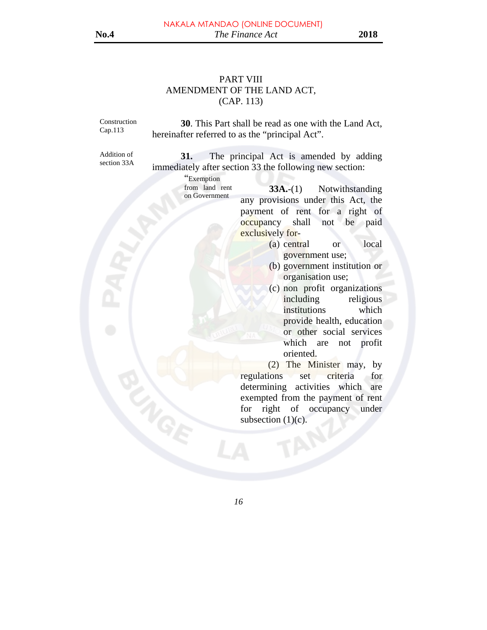# PART VIII AMENDMENT OF THE LAND ACT, (CAP. 113)

Construction Cap.113

**30**. This Part shall be read as one with the Land Act, hereinafter referred to as the "principal Act".

Addition of section 33A

**31.** The principal Act is amended by adding immediately after section 33 the following new section:

> "Exemption from land rent on Government **33A.**-(1) Notwithstanding any provisions under this Act, the payment of rent for a right of occupancy shall not be paid exclusively for-

- (a) central or local government use;
- (b) government institution or organisation use;
- (c) non profit organizations including religious institutions which provide health, education or other social services which are not profit oriented.

 (2) The Minister may, by regulations set criteria for determining activities which are exempted from the payment of rent for right of occupancy under subsection  $(1)(c)$ .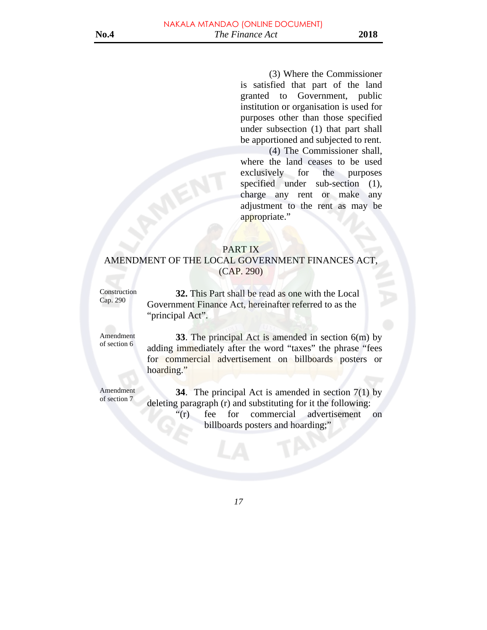(3) Where the Commissioner is satisfied that part of the land granted to Government, public institution or organisation is used for purposes other than those specified under subsection (1) that part shall be apportioned and subjected to rent.

 (4) The Commissioner shall, where the land ceases to be used exclusively for the purposes specified under sub-section (1), charge any rent or make any adjustment to the rent as may be appropriate."

# PART IX AMENDMENT OF THE LOCAL GOVERNMENT FINANCES ACT, (CAP. 290)

Construction Cap. 290

 **32.** This Part shall be read as one with the Local Government Finance Act, hereinafter referred to as the "principal Act".

Amendment

Amendment **33**. The principal Act is amended in section 6(m) by of section 6  $\frac{1}{2}$ adding immediately after the word "taxes" the phrase "fees for commercial advertisement on billboards posters or hoarding."

Amendment of section 7

**34**. The principal Act is amended in section 7(1) by deleting paragraph (r) and substituting for it the following: "(r) fee for commercial advertisement on billboards posters and hoarding;"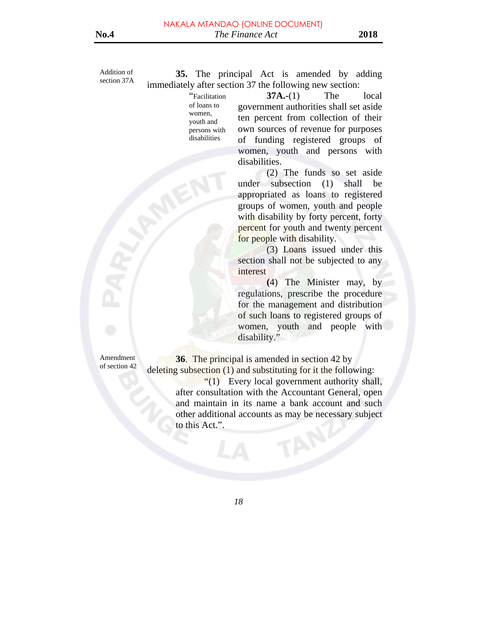Addition of section 37A

 **35.** The principal Act is amended by adding immediately after section 37 the following new section:

> "Facilitation of loans to women, youth and persons with disabilities

**37A.-(1)** The local government authorities shall set aside ten percent from collection of their own sources of revenue for purposes of funding registered groups of women, youth and persons with disabilities.

 (2) The funds so set aside under subsection (1) shall be appropriated as loans to registered groups of women, youth and people with disability by forty percent, forty percent for youth and twenty percent for people with disability.

 (3) Loans issued under this section shall not be subjected to any interest

 **(**4) The Minister may, by regulations, prescribe the procedure for the management and distribution of such loans to registered groups of women, youth and people with disability."

Amendment of section 42

 **36**. The principal is amended in section 42 by deleting subsection (1) and substituting for it the following: "(1) Every local government authority shall, after consultation with the Accountant General, open and maintain in its name a bank account and such other additional accounts as may be necessary subject to this Act.".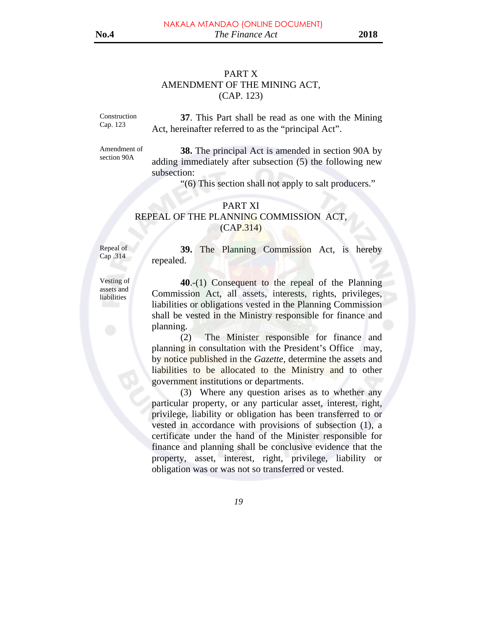# PART X AMENDMENT OF THE MINING ACT, (CAP. 123)

Construction Cap. 123

**37**. This Part shall be read as one with the Mining Act, hereinafter referred to as the "principal Act".

Amendment of section 90A

**38.** The principal Act is amended in section 90A by adding immediately after subsection (5) the following new subsection:

"(6) This section shall not apply to salt producers."

#### PART XI REPEAL OF THE PLANNING COMMISSION ACT (CAP.314)

Repeal of Cap .314

**39.** The Planning Commission Act, is hereby repealed.

Vesting of assets and liabilities

**40**.-(1) Consequent to the repeal of the Planning Commission Act, all assets, interests, rights, privileges, liabilities or obligations vested in the Planning Commission shall be vested in the Ministry responsible for finance and planning.

 (2) The Minister responsible for finance and planning in consultation with the President's Office may, by notice published in the *Gazette*, determine the assets and liabilities to be allocated to the Ministry and to other government institutions or departments.

 (3) Where any question arises as to whether any particular property, or any particular asset, interest, right, privilege, liability or obligation has been transferred to or vested in accordance with provisions of subsection (1), a certificate under the hand of the Minister responsible for finance and planning shall be conclusive evidence that the property, asset, interest, right, privilege, liability or obligation was or was not so transferred or vested.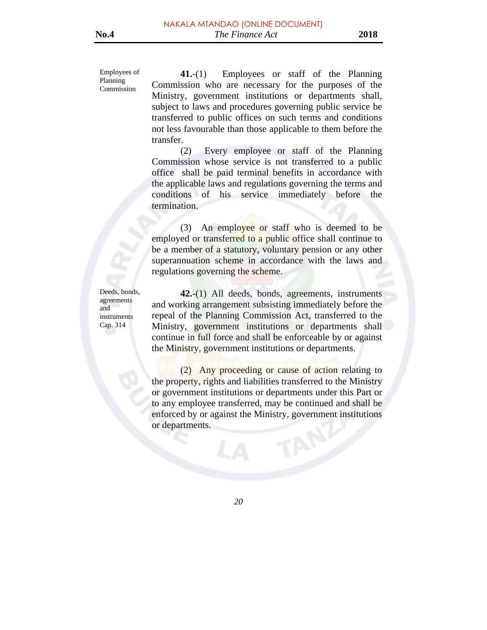Employees of Planning Commission

**41.**-(1) Employees or staff of the Planning Commission who are necessary for the purposes of the Ministry, government institutions or departments shall, subject to laws and procedures governing public service be transferred to public offices on such terms and conditions not less favourable than those applicable to them before the transfer.

 (2) Every employee or staff of the Planning Commission whose service is not transferred to a public office shall be paid terminal benefits in accordance with the applicable laws and regulations governing the terms and conditions of his service immediately before the termination.

 (3) An employee or staff who is deemed to be employed or transferred to a public office shall continue to be a member of a statutory, voluntary pension or any other superannuation scheme in accordance with the laws and regulations governing the scheme.

Deeds, bonds, agreements and instruments Cap. 314

**42.**-(1) All deeds, bonds, agreements, instruments and working arrangement subsisting immediately before the repeal of the Planning Commission Act, transferred to the Ministry, government institutions or departments shall continue in full force and shall be enforceable by or against the Ministry, government institutions or departments.

 (2) Any proceeding or cause of action relating to the property, rights and liabilities transferred to the Ministry or government institutions or departments under this Part or to any employee transferred, may be continued and shall be enforced by or against the Ministry, government institutions or departments.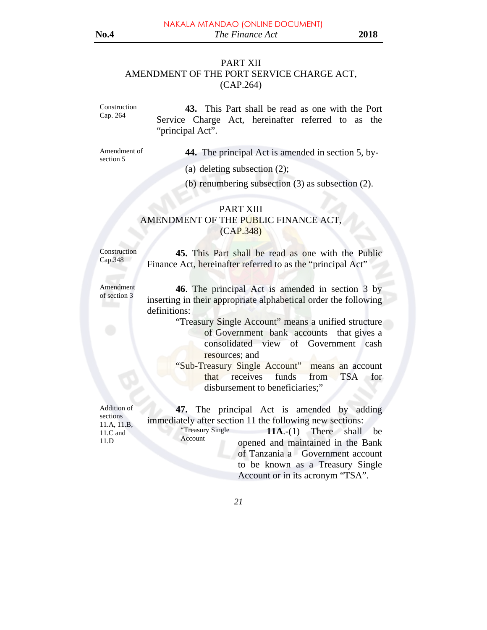#### PART XII AMENDMENT OF THE PORT SERVICE CHARGE ACT, (CAP.264)

Construction Cap. 264 **43.** This Part shall be read as one with the Port Service Charge Act, hereinafter referred to as the "principal Act".

Amendment of section 5

 **44.** The principal Act is amended in section 5, by-

(a) deleting subsection (2);

(b) renumbering subsection (3) as subsection (2).

#### PART XIII

AMENDMENT OF THE PUBLIC FINANCE ACT, (CAP.348)

Construction Cap.348

**45.** This Part shall be read as one with the Public Finance Act, hereinafter referred to as the "principal Act"

Amendment of section 3

**46**. The principal Act is amended in section 3 by inserting in their appropriate alphabetical order the following definitions:

> "Treasury Single Account" means a unified structure of Government bank accounts that gives a consolidated view of Government cash resources; and

> "Sub-Treasury Single Account" means an account that receives funds from TSA for disbursement to beneficiaries;"

Addition of sections 11.A, 11.B, 11.C and 11.D **47.** The principal Act is amended by adding immediately after section 11 the following new sections: "Treasury Single Account **11A**.-(1) There shall be

opened and maintained in the Bank of Tanzania a Government account to be known as a Treasury Single Account or in its acronym "TSA".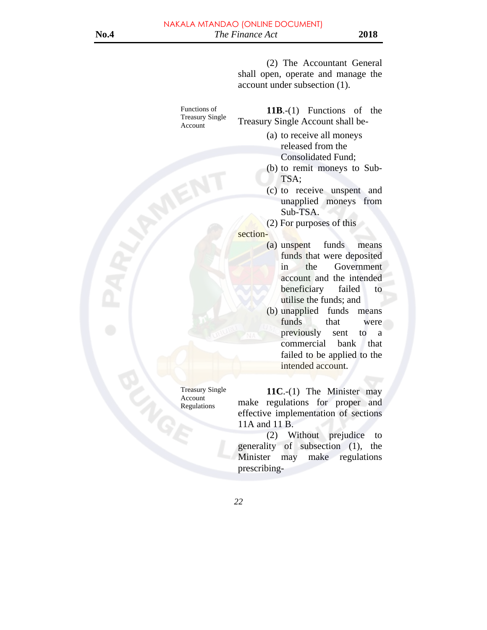(2) The Accountant General shall open, operate and manage the account under subsection (1).

Functions of Treasury Single Account

**11B**.-(1) Functions of the Treasury Single Account shall be-

- (a) to receive all moneys released from the Consolidated Fund;
- (b) to remit moneys to Sub-TSA;
- (c) to receive unspent and unapplied moneys from Sub-TSA.
- (2) For purposes of this

section-

- (a) unspent funds means funds that were deposited in the Government account and the intended beneficiary failed to utilise the funds; and
- (b) unapplied funds means funds that were previously sent to a commercial bank that failed to be applied to the intended account.

Treasury Single Account Regulations

**11C**.-(1) The Minister may make regulations for proper and effective implementation of sections 11A and 11 B.

 (2) Without prejudice to generality of subsection (1), the Minister may make regulations prescribing-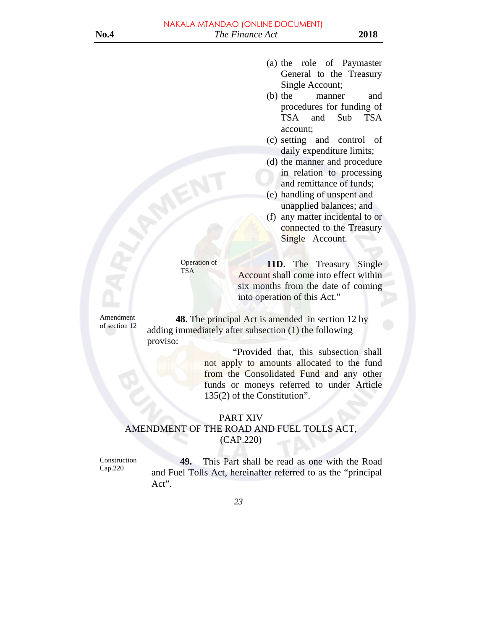- (a) the role of Paymaster General to the Treasury Single Account;
- (b) the manner and procedures for funding of TSA and Sub TSA account;
- (c) setting and control of daily expenditure limits;
- (d) the manner and procedure in relation to processing and remittance of funds;
- (e) handling of unspent and unapplied balances; and
- (f) any matter incidental to or connected to the Treasury Single Account.

Operation of TSA

**11D**. The Treasury Single Account shall come into effect within six months from the date of coming into operation of this Act."

 Amendment of section 12

**48.** The principal Act is amended in section 12 by adding immediately after subsection (1) the following proviso:

> "Provided that, this subsection shall not apply to amounts allocated to the fund from the Consolidated Fund and any other funds or moneys referred to under Article 135(2) of the Constitution".

# PART XIV AMENDMENT OF THE ROAD AND FUEL TOLLS ACT, (CAP.220)

Construction Cap.220

**49.** This Part shall be read as one with the Road and Fuel Tolls Act, hereinafter referred to as the "principal Act".

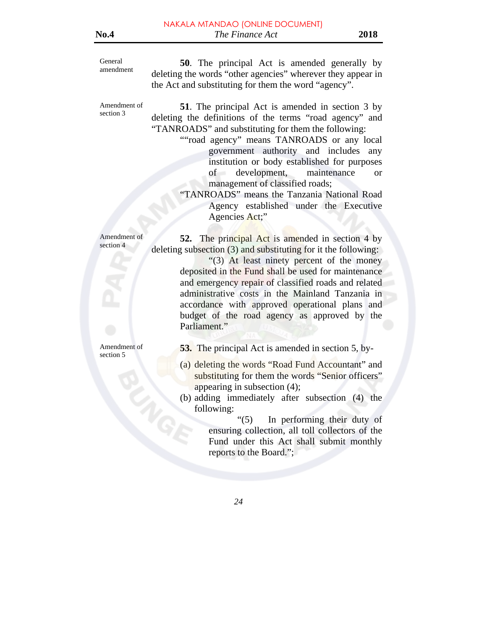General amendment

section 3

**50**. The principal Act is amended generally by deleting the words "other agencies" wherever they appear in the Act and substituting for them the word "agency".

Amendment of **51**. The principal Act is amended in section 3 by deleting the definitions of the terms "road agency" and "TANROADS" and substituting for them the following:

> ""road agency" means TANROADS or any local government authority and includes any institution or body established for purposes of development, maintenance or management of classified roads;

> "TANROADS" means the Tanzania National Road Agency established under the Executive Agencies Act;"

Amendment of section 4

Amendment of section 5

**52.** The principal Act is amended in section 4 by deleting subsection (3) and substituting for it the following:

 "(3) At least ninety percent of the money deposited in the Fund shall be used for maintenance and emergency repair of classified roads and related administrative costs in the Mainland Tanzania in accordance with approved operational plans and budget of the road agency as approved by the Parliament."

**53.** The principal Act is amended in section 5, by-

- (a) deleting the words "Road Fund Accountant" and substituting for them the words "Senior officers" appearing in subsection (4);
- (b) adding immediately after subsection (4) the following:

 "(5) In performing their duty of ensuring collection, all toll collectors of the Fund under this Act shall submit monthly reports to the Board.";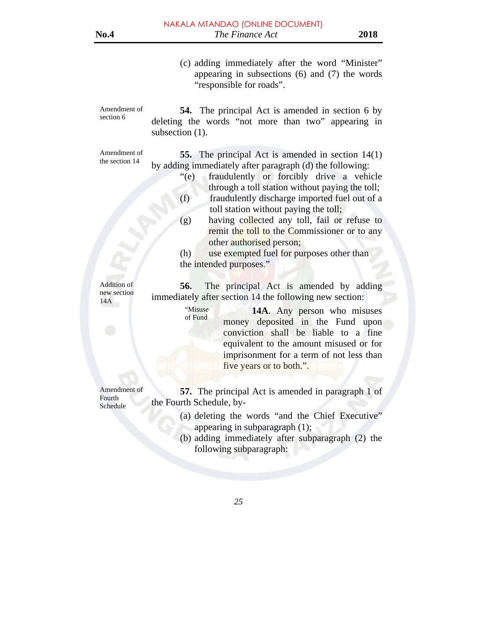(c) adding immediately after the word "Minister" appearing in subsections (6) and (7) the words "responsible for roads".

Amendment of section 6

**54.** The principal Act is amended in section 6 by deleting the words "not more than two" appearing in subsection  $(1)$ .

Amendment of the section 14

**55.** The principal Act is amended in section 14(1) by adding immediately after paragraph (d) the following:

- "(e) fraudulently or forcibly drive a vehicle through a toll station without paying the toll;
- (f) fraudulently discharge imported fuel out of a toll station without paying the toll;
- (g) having collected any toll, fail or refuse to remit the toll to the Commissioner or to any other authorised person;

(h) use exempted fuel for purposes other than the intended purposes."

Addition of new section 14A

"Misuse "Misuse"<br>
of Fund

of Fund

**56.** The principal Act is amended by adding immediately after section 14 the following new section:

> **14A**. Any person who misuses money deposited in the Fund upon conviction shall be liable to a fine equivalent to the amount misused or for imprisonment for a term of not less than five years or to both.".

**57.** The principal Act is amended in paragraph 1 of the Fourth Schedule, by-

- (a) deleting the words "and the Chief Executive" appearing in subparagraph (1);
- (b) adding immediately after subparagraph (2) the following subparagraph:

Amendment of Fourth Schedule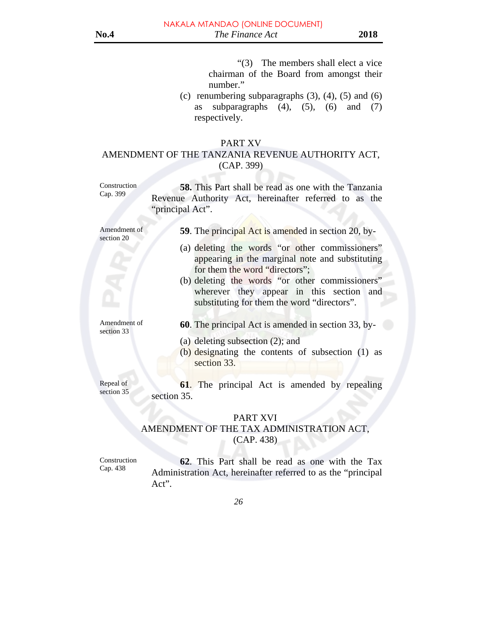> "(3) The members shall elect a vice chairman of the Board from amongst their number."

(c) renumbering subparagraphs  $(3)$ ,  $(4)$ ,  $(5)$  and  $(6)$ as subparagraphs  $(4)$ ,  $(5)$ ,  $(6)$  and  $(7)$ respectively.

## PART XV AMENDMENT OF THE TANZANIA REVENUE AUTHORITY ACT, (CAP. 399)

Construction Cap. 399

**58.** This Part shall be read as one with the Tanzania Revenue Authority Act, hereinafter referred to as the "principal Act".

Amendment of section 20

**59**. The principal Act is amended in section 20, by-

- (a) deleting the words "or other commissioners" appearing in the marginal note and substituting for them the word "directors";
- (b) deleting the words "or other commissioners" wherever they appear in this section and substituting for them the word "directors".

Amendment of section 33

**60**. The principal Act is amended in section 33, by-

- (a) deleting subsection (2); and
- (b) designating the contents of subsection (1) as section 33.

Repeal of section 35

**61**. The principal Act is amended by repealing section 35.

#### PART XVI

# AMENDMENT OF THE TAX ADMINISTRATION ACT, (CAP. 438)

Construction Cap. 438

**62**. This Part shall be read as one with the Tax Administration Act, hereinafter referred to as the "principal Act".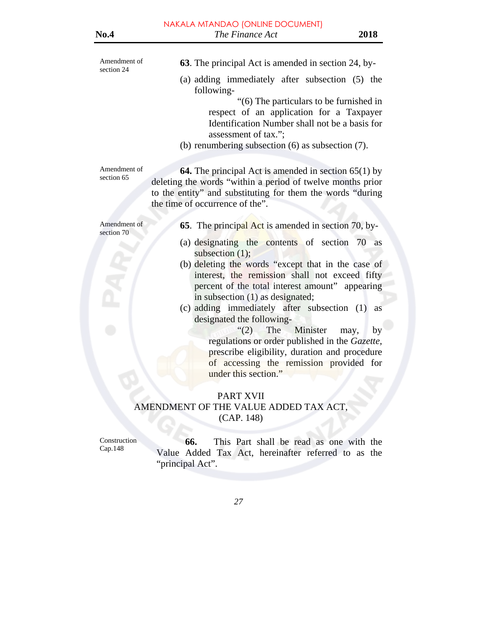| Amendment of<br>section 24 | <b>63</b> . The principal Act is amended in section 24, by-<br>(a) adding immediately after subsection (5) the<br>following-<br>"(6) The particulars to be furnished in<br>respect of an application for a Taxpayer<br>Identification Number shall not be a basis for<br>assessment of tax.":<br>(b) renumbering subsection $(6)$ as subsection $(7)$ .                                                                                                                                                                                                                                                                                        |
|----------------------------|------------------------------------------------------------------------------------------------------------------------------------------------------------------------------------------------------------------------------------------------------------------------------------------------------------------------------------------------------------------------------------------------------------------------------------------------------------------------------------------------------------------------------------------------------------------------------------------------------------------------------------------------|
| Amendment of<br>section 65 | <b>64.</b> The principal Act is amended in section $65(1)$ by<br>deleting the words "within a period of twelve months prior<br>to the entity" and substituting for them the words "during<br>the time of occurrence of the".                                                                                                                                                                                                                                                                                                                                                                                                                   |
| Amendment of<br>section 70 | <b>65.</b> The principal Act is amended in section 70, by-<br>(a) designating the contents of section 70<br><b>as</b><br>subsection $(1)$ ;<br>(b) deleting the words "except that in the case of<br>interest, the remission shall not exceed fifty<br>percent of the total interest amount" appearing<br>in subsection (1) as designated;<br>(c) adding immediately after subsection (1)<br>as<br>designated the following-<br>$\degree$ (2) The Minister<br>by<br>may,<br>regulations or order published in the Gazette,<br>prescribe eligibility, duration and procedure<br>of accessing the remission provided for<br>under this section." |
|                            | PART XVII<br>AMENDMENT OF THE VALUE ADDED TAX ACT,<br>(CAP. 148)                                                                                                                                                                                                                                                                                                                                                                                                                                                                                                                                                                               |
| Construction<br>Cap.148    | This Part shall be read as one with the<br>66.<br>Value Added Tax Act, hereinafter referred to as the<br>"principal Act".                                                                                                                                                                                                                                                                                                                                                                                                                                                                                                                      |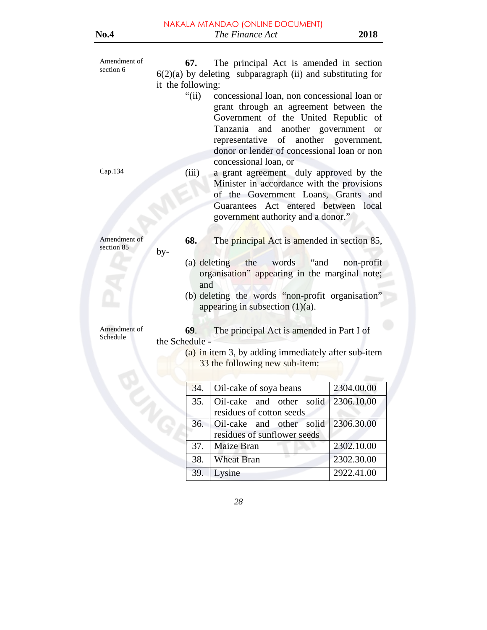| Amendment of<br>section 6  | 67.<br>it the following:<br>" $(i)$ | The principal Act is amended in section<br>$6(2)(a)$ by deleting subparagraph (ii) and substituting for<br>concessional loan, non concessional loan or<br>grant through an agreement between the<br>Government of the United Republic of<br>and another government<br>Tanzania<br>representative of another government,<br>donor or lender of concessional loan or non | <b>or</b>  |
|----------------------------|-------------------------------------|------------------------------------------------------------------------------------------------------------------------------------------------------------------------------------------------------------------------------------------------------------------------------------------------------------------------------------------------------------------------|------------|
| Cap.134                    | (iii)                               | concessional loan, or<br>a grant agreement duly approved by the<br>Minister in accordance with the provisions<br>of the Government Loans, Grants and<br>Guarantees Act entered between<br>government authority and a donor."                                                                                                                                           | local      |
| Amendment of<br>section 85 | 68.<br>by-<br>(a) deleting<br>and   | The principal Act is amended in section 85,<br>the<br>words<br>"and<br>organisation" appearing in the marginal note;<br>(b) deleting the words "non-profit organisation"<br>appearing in subsection $(1)(a)$ .                                                                                                                                                         | non-profit |
| Amendment of<br>Schedule   | 69.<br>the Schedule -               | The principal Act is amended in Part I of<br>(a) in item 3, by adding immediately after sub-item<br>33 the following new sub-item:                                                                                                                                                                                                                                     |            |
|                            | 34.                                 | Oil-cake of soya beans                                                                                                                                                                                                                                                                                                                                                 | 2304.00.00 |
|                            | 35.                                 | Oil-cake<br>and<br>other solid                                                                                                                                                                                                                                                                                                                                         | 2306.10.00 |
|                            |                                     | residues of cotton seeds                                                                                                                                                                                                                                                                                                                                               |            |
|                            | 36.                                 | and<br>Oil-cake<br>other<br>solid<br>residues of sunflower seeds                                                                                                                                                                                                                                                                                                       | 2306.30.00 |
|                            | 37.                                 | Maize Bran                                                                                                                                                                                                                                                                                                                                                             | 2302.10.00 |
|                            | 38.                                 | <b>Wheat Bran</b>                                                                                                                                                                                                                                                                                                                                                      | 2302.30.00 |
|                            | 39.                                 | Lysine                                                                                                                                                                                                                                                                                                                                                                 | 2922.41.00 |
|                            |                                     |                                                                                                                                                                                                                                                                                                                                                                        |            |

*28*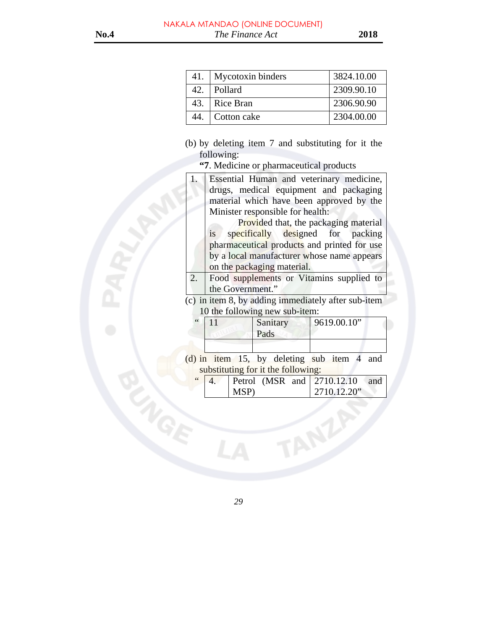| 41.   Mycotoxin binders | 3824.10.00 |
|-------------------------|------------|
| 42. Pollard             | 2309.90.10 |
| 43. Rice Bran           | 2306.90.90 |
| 44. Cotton cake         | 2304.00.00 |

(b) by deleting item 7 and substituting for it the following:

**"7**. Medicine or pharmaceutical products

|                                                     | Essential Human and veterinary medicine,    |          |  |             |  |  |  |  |
|-----------------------------------------------------|---------------------------------------------|----------|--|-------------|--|--|--|--|
|                                                     | drugs, medical equipment and packaging      |          |  |             |  |  |  |  |
|                                                     | material which have been approved by the    |          |  |             |  |  |  |  |
|                                                     | Minister responsible for health:            |          |  |             |  |  |  |  |
|                                                     | Provided that, the packaging material       |          |  |             |  |  |  |  |
|                                                     | specifically designed for packing<br>is     |          |  |             |  |  |  |  |
|                                                     | pharmaceutical products and printed for use |          |  |             |  |  |  |  |
|                                                     | by a local manufacturer whose name appears  |          |  |             |  |  |  |  |
|                                                     | on the packaging material.                  |          |  |             |  |  |  |  |
| 2.                                                  | Food supplements or Vitamins supplied to    |          |  |             |  |  |  |  |
|                                                     | the Government."                            |          |  |             |  |  |  |  |
| (c) in item 8, by adding immediately after sub-item |                                             |          |  |             |  |  |  |  |
| 10 the following new sub-item:                      |                                             |          |  |             |  |  |  |  |
|                                                     | 11                                          | Sanitary |  | 9619.00.10" |  |  |  |  |
|                                                     |                                             | Pads     |  |             |  |  |  |  |
|                                                     |                                             |          |  |             |  |  |  |  |
|                                                     |                                             |          |  |             |  |  |  |  |

(d) in item 15, by deleting sub item 4 and substituting for it the following:

| $\zeta$ $\zeta$ | MSP) |  | Petrol (MSR and $2710.12.10$<br>2710.12.20" | and |
|-----------------|------|--|---------------------------------------------|-----|
|                 |      |  |                                             |     |
|                 |      |  |                                             |     |
|                 |      |  |                                             |     |